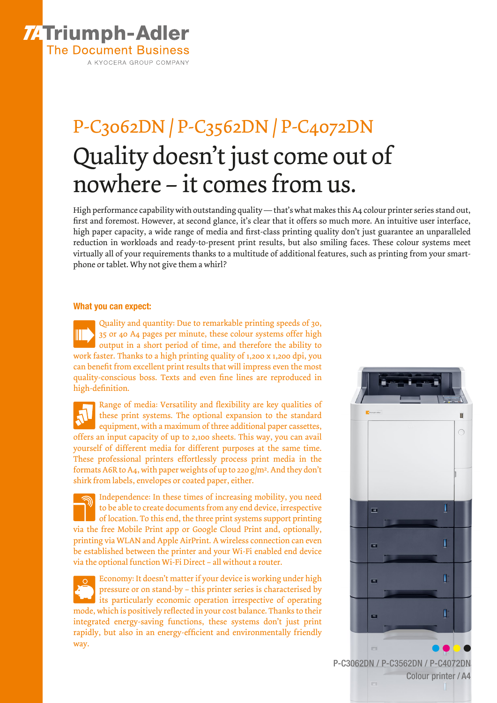## **ZATriumph-Adler The Document Business** A KYOCERA GROUP COMPANY

# P-C3062DN / P-C3562DN / P-C4072DN Quality doesn't just come out of nowhere – it comes from us.

High performance capability with outstanding quality — that's what makes this A4 colour printer series stand out, first and foremost. However, at second glance, it's clear that it offers so much more. An intuitive user interface, high paper capacity, a wide range of media and first-class printing quality don't just guarantee an unparalleled reduction in workloads and ready-to-present print results, but also smiling faces. These colour systems meet virtually all of your requirements thanks to a multitude of additional features, such as printing from your smartphone or tablet. Why not give them a whirl?

### What you can expect:

Quality and quantity: Due to remarkable printing speeds of 30, 35 or 40 A4 pages per minute, these colour systems offer high output in a short period of time, and therefore the ability to work faster. Thanks to a high printing quality of 1,200 x 1,200 dpi, you can benefit from excellent print results that will impress even the most quality-conscious boss. Texts and even fine lines are reproduced in high-definition.

Range of media: Versatility and flexibility are key qualities of these print systems. The optional expansion to the standard equipment, with a maximum of three additional paper cassettes, offers an input capacity of up to 2,100 sheets. This way, you can avail yourself of different media for different purposes at the same time. These professional printers effortlessly process print media in the formats A6R to A4, with paper weights of up to 220 g/m2. And they don't shirk from labels, envelopes or coated paper, either.

Independence: In these times of increasing mobility, you need to be able to create documents from any end device, irrespective of location. To this end, the three print systems support printing via the free Mobile Print app or Google Cloud Print and, optionally, printing via WLAN and Apple AirPrint. A wireless connection can even be established between the printer and your Wi-Fi enabled end device via the optional function Wi-Fi Direct – all without a router.

Economy: It doesn't matter if your device is working under high pressure or on stand-by – this printer series is characterised by its particularly economic operation irrespective of operating mode, which is positively reflected in your cost balance. Thanks to their integrated energy-saving functions, these systems don't just print rapidly, but also in an energy-efficient and environmentally friendly way.